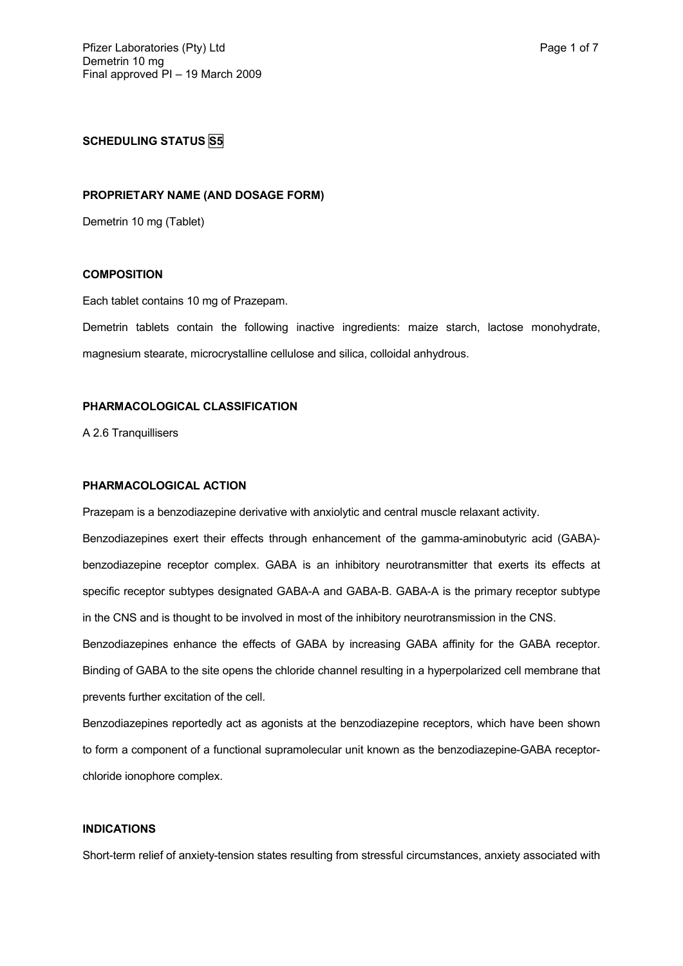# **SCHEDULING STATUS S5**

### **PROPRIETARY NAME (AND DOSAGE FORM)**

Demetrin 10 mg (Tablet)

## **COMPOSITION**

Each tablet contains 10 mg of Prazepam.

Demetrin tablets contain the following inactive ingredients: maize starch, lactose monohydrate, magnesium stearate, microcrystalline cellulose and silica, colloidal anhydrous.

#### **PHARMACOLOGICAL CLASSIFICATION**

A 2.6 Tranquillisers

### **PHARMACOLOGICAL ACTION**

Prazepam is a benzodiazepine derivative with anxiolytic and central muscle relaxant activity.

Benzodiazepines exert their effects through enhancement of the gamma-aminobutyric acid (GABA) benzodiazepine receptor complex. GABA is an inhibitory neurotransmitter that exerts its effects at specific receptor subtypes designated GABA-A and GABA-B. GABA-A is the primary receptor subtype in the CNS and is thought to be involved in most of the inhibitory neurotransmission in the CNS.

Benzodiazepines enhance the effects of GABA by increasing GABA affinity for the GABA receptor. Binding of GABA to the site opens the chloride channel resulting in a hyperpolarized cell membrane that prevents further excitation of the cell.

Benzodiazepines reportedly act as agonists at the benzodiazepine receptors, which have been shown to form a component of a functional supramolecular unit known as the benzodiazepine-GABA receptorchloride ionophore complex.

## **INDICATIONS**

Short-term relief of anxiety-tension states resulting from stressful circumstances, anxiety associated with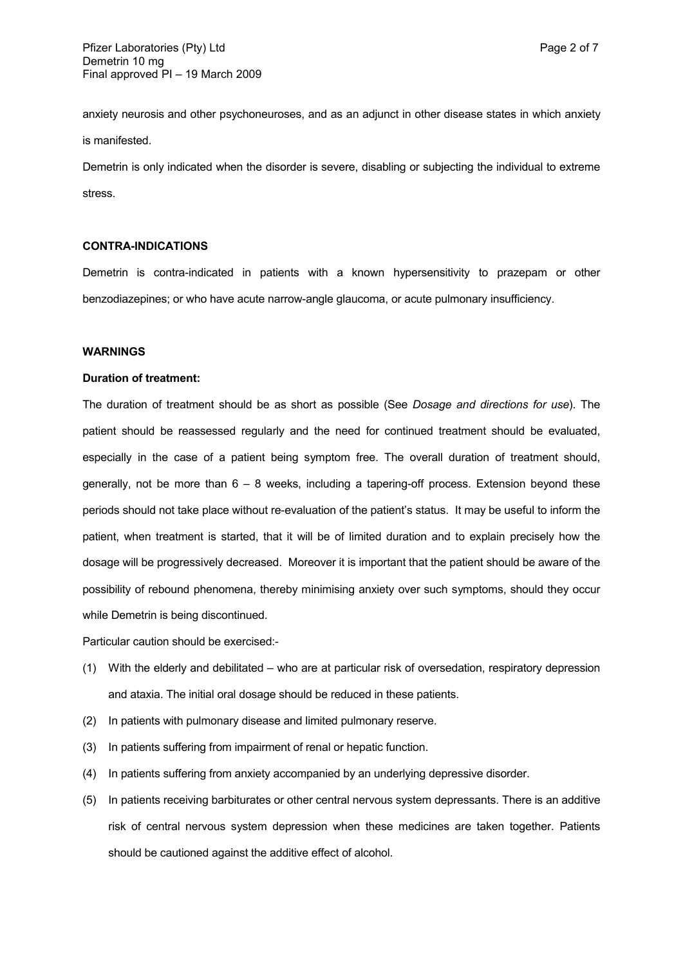anxiety neurosis and other psychoneuroses, and as an adjunct in other disease states in which anxiety is manifested.

Demetrin is only indicated when the disorder is severe, disabling or subjecting the individual to extreme stress.

## **CONTRA-INDICATIONS**

Demetrin is contra-indicated in patients with a known hypersensitivity to prazepam or other benzodiazepines; or who have acute narrow-angle glaucoma, or acute pulmonary insufficiency.

#### **WARNINGS**

#### **Duration of treatment:**

The duration of treatment should be as short as possible (See *Dosage and directions for use*). The patient should be reassessed regularly and the need for continued treatment should be evaluated, especially in the case of a patient being symptom free. The overall duration of treatment should, generally, not be more than 6 – 8 weeks, including a tapering-off process. Extension beyond these periods should not take place without re-evaluation of the patient's status. It may be useful to inform the patient, when treatment is started, that it will be of limited duration and to explain precisely how the dosage will be progressively decreased. Moreover it is important that the patient should be aware of the possibility of rebound phenomena, thereby minimising anxiety over such symptoms, should they occur while Demetrin is being discontinued.

Particular caution should be exercised:-

- (1) With the elderly and debilitated who are at particular risk of oversedation, respiratory depression and ataxia. The initial oral dosage should be reduced in these patients.
- (2) In patients with pulmonary disease and limited pulmonary reserve.
- (3) In patients suffering from impairment of renal or hepatic function.
- (4) In patients suffering from anxiety accompanied by an underlying depressive disorder.
- (5) In patients receiving barbiturates or other central nervous system depressants. There is an additive risk of central nervous system depression when these medicines are taken together. Patients should be cautioned against the additive effect of alcohol.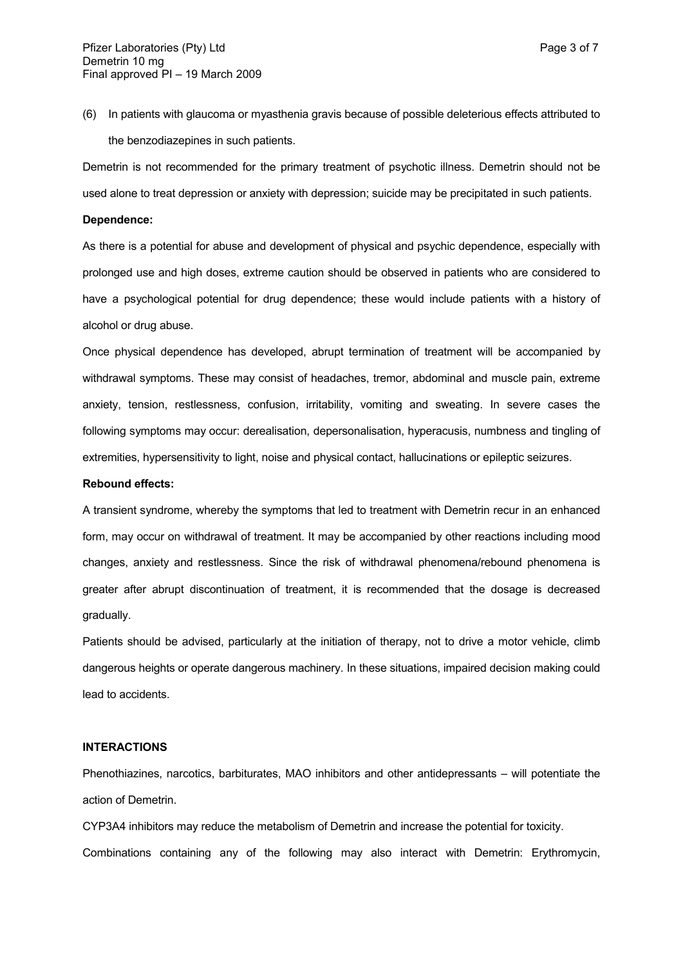(6) In patients with glaucoma or myasthenia gravis because of possible deleterious effects attributed to the benzodiazepines in such patients.

Demetrin is not recommended for the primary treatment of psychotic illness. Demetrin should not be used alone to treat depression or anxiety with depression; suicide may be precipitated in such patients.

#### **Dependence:**

As there is a potential for abuse and development of physical and psychic dependence, especially with prolonged use and high doses, extreme caution should be observed in patients who are considered to have a psychological potential for drug dependence; these would include patients with a history of alcohol or drug abuse.

Once physical dependence has developed, abrupt termination of treatment will be accompanied by withdrawal symptoms. These may consist of headaches, tremor, abdominal and muscle pain, extreme anxiety, tension, restlessness, confusion, irritability, vomiting and sweating. In severe cases the following symptoms may occur: derealisation, depersonalisation, hyperacusis, numbness and tingling of extremities, hypersensitivity to light, noise and physical contact, hallucinations or epileptic seizures.

#### **Rebound effects:**

A transient syndrome, whereby the symptoms that led to treatment with Demetrin recur in an enhanced form, may occur on withdrawal of treatment. It may be accompanied by other reactions including mood changes, anxiety and restlessness. Since the risk of withdrawal phenomena/rebound phenomena is greater after abrupt discontinuation of treatment, it is recommended that the dosage is decreased gradually.

Patients should be advised, particularly at the initiation of therapy, not to drive a motor vehicle, climb dangerous heights or operate dangerous machinery. In these situations, impaired decision making could lead to accidents.

### **INTERACTIONS**

Phenothiazines, narcotics, barbiturates, MAO inhibitors and other antidepressants – will potentiate the action of Demetrin.

CYP3A4 inhibitors may reduce the metabolism of Demetrin and increase the potential for toxicity. Combinations containing any of the following may also interact with Demetrin: Erythromycin,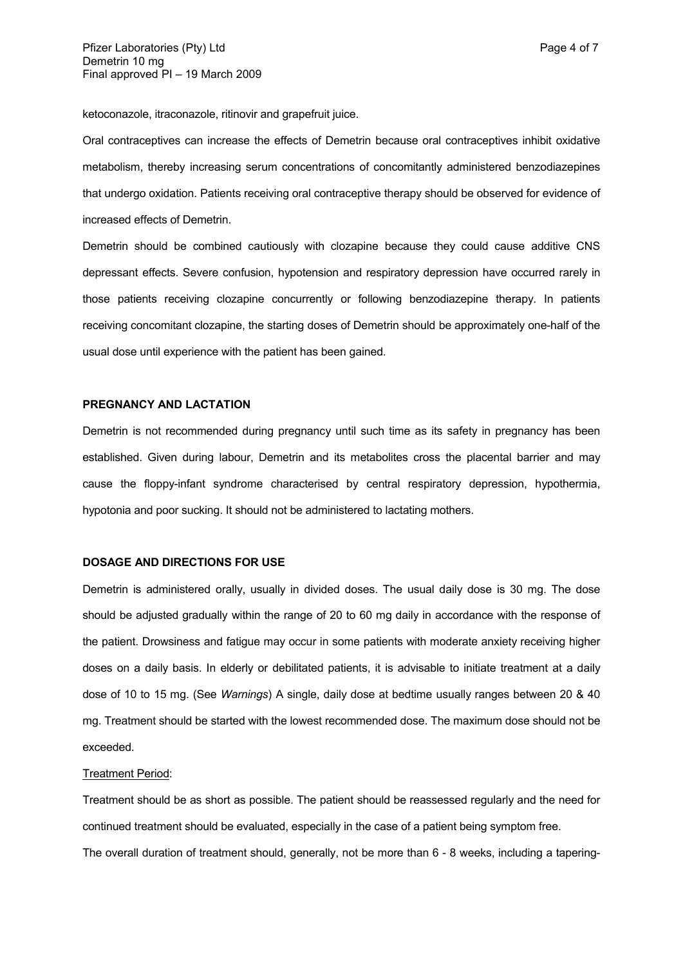ketoconazole, itraconazole, ritinovir and grapefruit juice.

Oral contraceptives can increase the effects of Demetrin because oral contraceptives inhibit oxidative metabolism, thereby increasing serum concentrations of concomitantly administered benzodiazepines that undergo oxidation. Patients receiving oral contraceptive therapy should be observed for evidence of increased effects of Demetrin.

Demetrin should be combined cautiously with clozapine because they could cause additive CNS depressant effects. Severe confusion, hypotension and respiratory depression have occurred rarely in those patients receiving clozapine concurrently or following benzodiazepine therapy. In patients receiving concomitant clozapine, the starting doses of Demetrin should be approximately one-half of the usual dose until experience with the patient has been gained.

#### **PREGNANCY AND LACTATION**

Demetrin is not recommended during pregnancy until such time as its safety in pregnancy has been established. Given during labour, Demetrin and its metabolites cross the placental barrier and may cause the floppy-infant syndrome characterised by central respiratory depression, hypothermia, hypotonia and poor sucking. It should not be administered to lactating mothers.

#### **DOSAGE AND DIRECTIONS FOR USE**

Demetrin is administered orally, usually in divided doses. The usual daily dose is 30 mg. The dose should be adjusted gradually within the range of 20 to 60 mg daily in accordance with the response of the patient. Drowsiness and fatigue may occur in some patients with moderate anxiety receiving higher doses on a daily basis. In elderly or debilitated patients, it is advisable to initiate treatment at a daily dose of 10 to 15 mg. (See *Warnings*) A single, daily dose at bedtime usually ranges between 20 & 40 mg. Treatment should be started with the lowest recommended dose. The maximum dose should not be exceeded.

#### Treatment Period:

Treatment should be as short as possible. The patient should be reassessed regularly and the need for continued treatment should be evaluated, especially in the case of a patient being symptom free. The overall duration of treatment should, generally, not be more than 6 - 8 weeks, including a tapering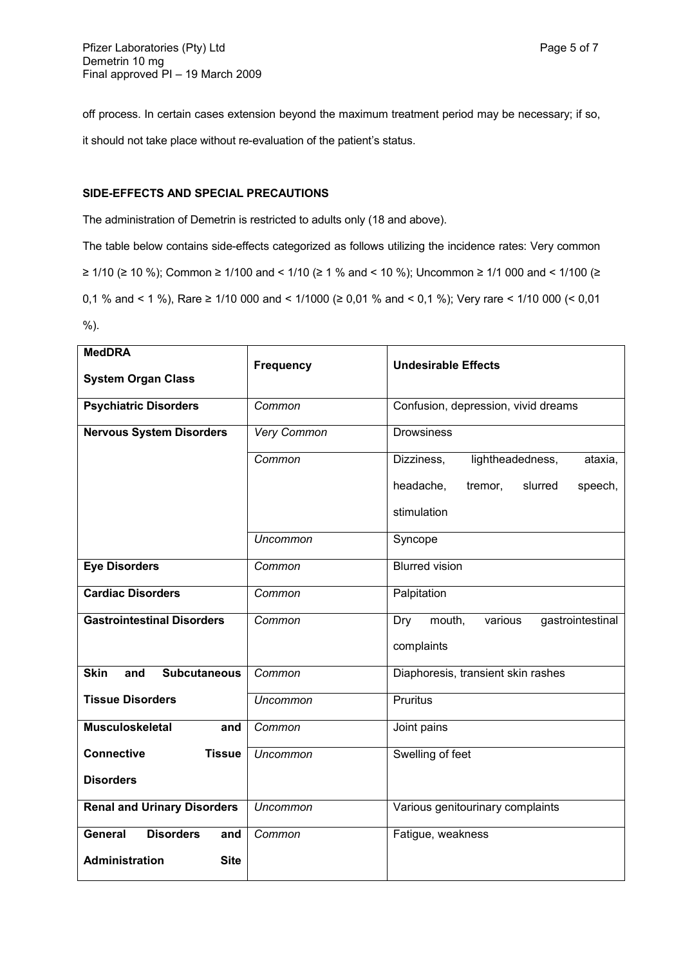off process. In certain cases extension beyond the maximum treatment period may be necessary; if so, it should not take place without re-evaluation of the patient's status.

## **SIDE-EFFECTS AND SPECIAL PRECAUTIONS**

The administration of Demetrin is restricted to adults only (18 and above).

The table below contains side-effects categorized as follows utilizing the incidence rates: Very common ≥ 1/10 (≥ 10 %); Common ≥ 1/100 and < 1/10 (≥ 1 % and < 10 %); Uncommon ≥ 1/1 000 and < 1/100 (≥ 0,1 % and < 1 %), Rare ≥ 1/10 000 and < 1/1000 (≥ 0,01 % and < 0,1 %); Very rare < 1/10 000 (< 0,01 %).

| <b>MedDRA</b>                             |                  |                                              |
|-------------------------------------------|------------------|----------------------------------------------|
|                                           | <b>Frequency</b> | <b>Undesirable Effects</b>                   |
| <b>System Organ Class</b>                 |                  |                                              |
| <b>Psychiatric Disorders</b>              | Common           | Confusion, depression, vivid dreams          |
| <b>Nervous System Disorders</b>           | Very Common      | <b>Drowsiness</b>                            |
|                                           | Common           | lightheadedness,<br>Dizziness,<br>ataxia,    |
|                                           |                  | headache,<br>tremor,<br>slurred<br>speech,   |
|                                           |                  | stimulation                                  |
|                                           | Uncommon         | Syncope                                      |
| <b>Eye Disorders</b>                      | Common           | <b>Blurred vision</b>                        |
| <b>Cardiac Disorders</b>                  | Common           | Palpitation                                  |
| <b>Gastrointestinal Disorders</b>         | Common           | mouth,<br>gastrointestinal<br>Dry<br>various |
|                                           |                  | complaints                                   |
| <b>Skin</b><br>and<br><b>Subcutaneous</b> | Common           | Diaphoresis, transient skin rashes           |
| <b>Tissue Disorders</b>                   | <b>Uncommon</b>  | Pruritus                                     |
| <b>Musculoskeletal</b><br>and             | Common           | Joint pains                                  |
| <b>Connective</b><br><b>Tissue</b>        | <b>Uncommon</b>  | Swelling of feet                             |
| <b>Disorders</b>                          |                  |                                              |
| <b>Renal and Urinary Disorders</b>        | <b>Uncommon</b>  | Various genitourinary complaints             |
| <b>Disorders</b><br><b>General</b><br>and | Common           | Fatigue, weakness                            |
| <b>Administration</b><br><b>Site</b>      |                  |                                              |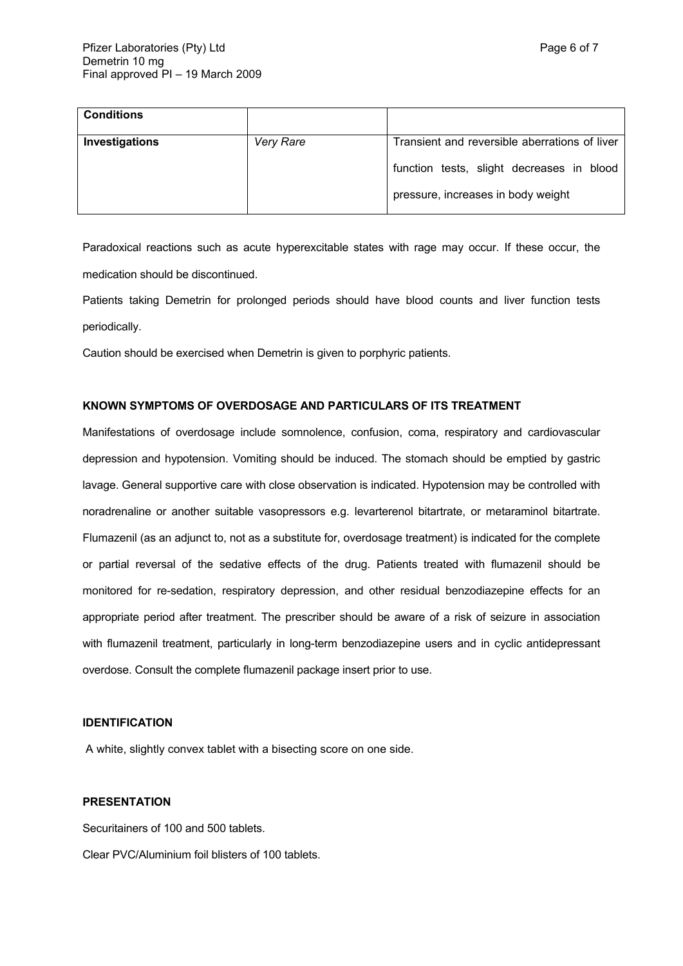| <b>Conditions</b> |           |                                               |
|-------------------|-----------|-----------------------------------------------|
| Investigations    | Very Rare | Transient and reversible aberrations of liver |
|                   |           | function tests, slight decreases in blood     |
|                   |           | pressure, increases in body weight            |

Paradoxical reactions such as acute hyperexcitable states with rage may occur. If these occur, the medication should be discontinued.

Patients taking Demetrin for prolonged periods should have blood counts and liver function tests periodically.

Caution should be exercised when Demetrin is given to porphyric patients.

### **KNOWN SYMPTOMS OF OVERDOSAGE AND PARTICULARS OF ITS TREATMENT**

Manifestations of overdosage include somnolence, confusion, coma, respiratory and cardiovascular depression and hypotension. Vomiting should be induced. The stomach should be emptied by gastric lavage. General supportive care with close observation is indicated. Hypotension may be controlled with noradrenaline or another suitable vasopressors e.g. levarterenol bitartrate, or metaraminol bitartrate. Flumazenil (as an adjunct to, not as a substitute for, overdosage treatment) is indicated for the complete or partial reversal of the sedative effects of the drug. Patients treated with flumazenil should be monitored for re-sedation, respiratory depression, and other residual benzodiazepine effects for an appropriate period after treatment. The prescriber should be aware of a risk of seizure in association with flumazenil treatment, particularly in long-term benzodiazepine users and in cyclic antidepressant overdose. Consult the complete flumazenil package insert prior to use.

## **IDENTIFICATION**

A white, slightly convex tablet with a bisecting score on one side.

#### **PRESENTATION**

Securitainers of 100 and 500 tablets.

Clear PVC/Aluminium foil blisters of 100 tablets.